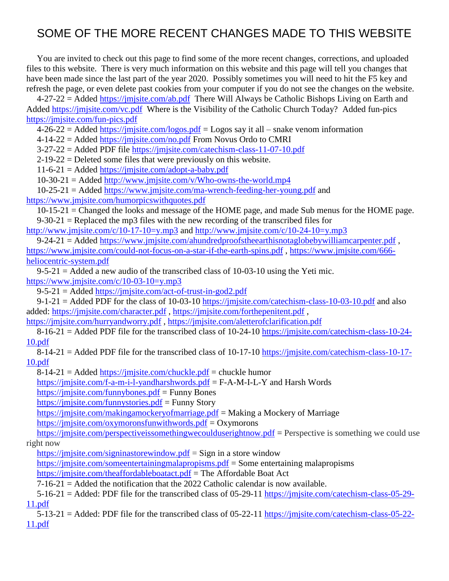## SOME OF THE MORE RECENT CHANGES MADE TO THIS WEBSITE

You are invited to check out this page to find some of the more recent changes, corrections, and uploaded files to this website. There is very much information on this website and this page will tell you changes that have been made since the last part of the year 2020. Possibly sometimes you will need to hit the F5 key and refresh the page, or even delete past cookies from your computer if you do not see the changes on the website.

4-27-22 = Added<https://jmjsite.com/ab.pdf>There Will Always be Catholic Bishops Living on Earth and Added<https://jmjsite.com/vc.pdf>Where is the Visibility of the Catholic Church Today? Added fun-pics <https://jmjsite.com/fun-pics.pdf>

 $4-26-22 =$  Added <https://jmjsite.com/logos.pdf> = Logos say it all – snake venom information

4-14-22 = Added<https://jmjsite.com/no.pdf> From Novus Ordo to CMRI

3-27-22 = Added PDF file<https://jmjsite.com/catechism-class-11-07-10.pdf>

2-19-22 = Deleted some files that were previously on this website.

 $11-6-21 =$  Added<https://jmjsite.com/adopt-a-baby.pdf>

 $10-30-21 =$  Added<http://www.jmjsite.com/v/Who-owns-the-world.mp4>

10-25-21 = Added<https://www.jmjsite.com/ma-wrench-feeding-her-young.pdf> and <https://www.jmjsite.com/humorpicswithquotes.pdf>

10-15-21 = Changed the looks and message of the HOME page, and made Sub menus for the HOME page.  $9-30-21$  = Replaced the mp3 files with the new recording of the transcribed files for

<http://www.jmjsite.com/c/10-17-10=y.mp3> and<http://www.jmjsite.com/c/10-24-10=y.mp3>

9-24-21 = Added<https://www.jmjsite.com/ahundredproofstheearthisnotaglobebywilliamcarpenter.pdf> , <https://www.jmjsite.com/could-not-focus-on-a-star-if-the-earth-spins.pdf> , [https://www.jmjsite.com/666](https://www.jmjsite.com/666-heliocentric-system.pdf) [heliocentric-system.pdf](https://www.jmjsite.com/666-heliocentric-system.pdf)

9-5-21 = Added a new audio of the transcribed class of 10-03-10 using the Yeti mic. <https://www.jmjsite.com/c/10-03-10=y.mp3>

9-5-21 = Added<https://jmjsite.com/act-of-trust-in-god2.pdf>

 $9-1-21 =$  Added PDF for the class of 10-03-10<https://jmjsite.com/catechism-class-10-03-10.pdf> and also added:<https://jmjsite.com/character.pdf> ,<https://jmjsite.com/forthepenitent.pdf> ,

<https://jmjsite.com/hurryandworry.pdf> ,<https://jmjsite.com/aletterofclarification.pdf>

8-16-21 = Added PDF file for the transcribed class of 10-24-10 [https://jmjsite.com/catechism-class-10-24-](https://jmjsite.com/catechism-class-10-24-10.pdf) [10.pdf](https://jmjsite.com/catechism-class-10-24-10.pdf)

8-14-21 = Added PDF file for the transcribed class of 10-17-10 [https://jmjsite.com/catechism-class-10-17-](https://jmjsite.com/catechism-class-10-17-10.pdf) [10.pdf](https://jmjsite.com/catechism-class-10-17-10.pdf)

 $8-14-21 =$  Added<https://jmjsite.com/chuckle.pdf> = chuckle humor

<https://jmjsite.com/f-a-m-i-l-yandharshwords.pdf> = F-A-M-I-L-Y and Harsh Words

<https://jmjsite.com/funnybones.pdf> = Funny Bones

<https://jmjsite.com/funnystories.pdf> = Funny Story

<https://jmjsite.com/makingamockeryofmarriage.pdf> = Making a Mockery of Marriage

<https://jmjsite.com/oxymoronsfunwithwords.pdf> = Oxymorons

<https://jmjsite.com/perspectiveissomethingwecoulduserightnow.pdf> = Perspective is something we could use right now

<https://jmjsite.com/signinastorewindow.pdf> = Sign in a store window

<https://jmjsite.com/someentertainingmalapropisms.pdf> = Some entertaining malapropisms

<https://jmjsite.com/theaffordableboatact.pdf> = The Affordable Boat Act

 $7-16-21 =$  Added the notification that the 2022 Catholic calendar is now available.

5-16-21 = Added: PDF file for the transcribed class of 05-29-11 [https://jmjsite.com/catechism-class-05-29-](https://jmjsite.com/catechism-class-05-29-11.pdf) [11.pdf](https://jmjsite.com/catechism-class-05-29-11.pdf)

5-13-21 = Added: PDF file for the transcribed class of 05-22-11 [https://jmjsite.com/catechism-class-05-22-](https://jmjsite.com/catechism-class-05-22-11.pdf) [11.pdf](https://jmjsite.com/catechism-class-05-22-11.pdf)